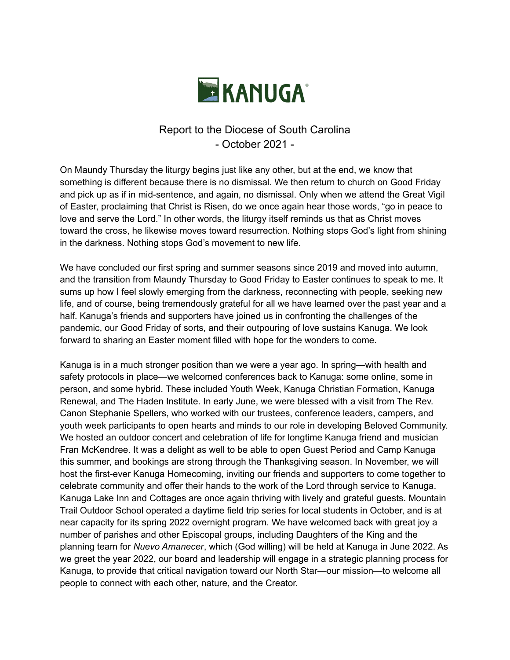

## Report to the Diocese of South Carolina - October 2021 -

On Maundy Thursday the liturgy begins just like any other, but at the end, we know that something is different because there is no dismissal. We then return to church on Good Friday and pick up as if in mid-sentence, and again, no dismissal. Only when we attend the Great Vigil of Easter, proclaiming that Christ is Risen, do we once again hear those words, "go in peace to love and serve the Lord." In other words, the liturgy itself reminds us that as Christ moves toward the cross, he likewise moves toward resurrection. Nothing stops God's light from shining in the darkness. Nothing stops God's movement to new life.

We have concluded our first spring and summer seasons since 2019 and moved into autumn, and the transition from Maundy Thursday to Good Friday to Easter continues to speak to me. It sums up how I feel slowly emerging from the darkness, reconnecting with people, seeking new life, and of course, being tremendously grateful for all we have learned over the past year and a half. Kanuga's friends and supporters have joined us in confronting the challenges of the pandemic, our Good Friday of sorts, and their outpouring of love sustains Kanuga. We look forward to sharing an Easter moment filled with hope for the wonders to come.

Kanuga is in a much stronger position than we were a year ago. In spring—with health and safety protocols in place—we welcomed conferences back to Kanuga: some online, some in person, and some hybrid. These included Youth Week, Kanuga Christian Formation, Kanuga Renewal, and The Haden Institute. In early June, we were blessed with a visit from The Rev. Canon Stephanie Spellers, who worked with our trustees, conference leaders, campers, and youth week participants to open hearts and minds to our role in developing Beloved Community. We hosted an outdoor concert and celebration of life for longtime Kanuga friend and musician Fran McKendree. It was a delight as well to be able to open Guest Period and Camp Kanuga this summer, and bookings are strong through the Thanksgiving season. In November, we will host the first-ever Kanuga Homecoming, inviting our friends and supporters to come together to celebrate community and offer their hands to the work of the Lord through service to Kanuga. Kanuga Lake Inn and Cottages are once again thriving with lively and grateful guests. Mountain Trail Outdoor School operated a daytime field trip series for local students in October, and is at near capacity for its spring 2022 overnight program. We have welcomed back with great joy a number of parishes and other Episcopal groups, including Daughters of the King and the planning team for *Nuevo Amanecer*, which (God willing) will be held at Kanuga in June 2022. As we greet the year 2022, our board and leadership will engage in a strategic planning process for Kanuga, to provide that critical navigation toward our North Star—our mission—to welcome all people to connect with each other, nature, and the Creator.